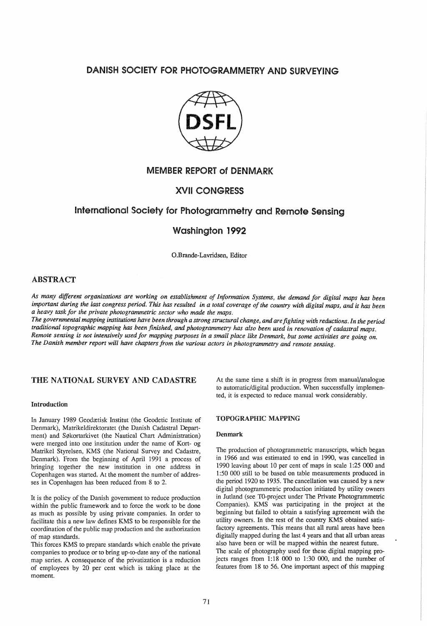# DANISH SOCIETY FOR PHOTOGRAMMETRY AND SURVEYING



# MEMBER REPORT of DENMARK

# XVII CONGRESS

# International Society for Photogrammetry and Remote Sensing

# Washington 1992

O.Brande-Lavridsen, Editor

## ABSTRACT

*As many different organizations are working on establishment Information Systems, the demand for digital maps* has *been*  important during the last congress period. This has resulted in a total coverage of the country with digital maps, and it has been *a heavy task for the private photogrammetric sector who made the maps.* 

The governmental mapping institutions have been through a strong structural change, and are fighting with reductions. In the period traditional topographic mapping has been finished, and photogrammetry has also been used in renovation of cadastral maps. Remote sensing is not intensively used for mapping purposes in a small place like Denmark, but some activities are going on. The Danish member report will have chapters from the various actors in photogrammetry and remote sensing.

## THE NATIONAL SURVEY AND CADASTRE

## Introduction

In January 1989 Geodætisk Institut (the Geodetic Institute of Denmark), Matrikeldirektoratet (the Danish Cadastral Department) and Søkortarkivet (the Nautical Chart Administration) were merged into one institution under the name of Kort- og Matrikel Styrelsen, KMS (the National Survey and Cadastre, Denmark). From the beginning of April 1991 a process of bringing together the new institution in one address in Copenhagen was started. At the moment the number of addresses in Copenhagen has been reduced from 8 to 2.

It is the policy of the Danish government to reduce production within the public framework and to force the work to be done as much as possible by using private companies. In order to facilitate this a new law defines KMS to be responsible for the coordination of the public map production and the authorization of map standards.

This forces KMS to prepare standards which enable the private companies to produce or to bring up-to-date any of the national map series. A consequence of the privatization is a reduction of employees by 20 per cent which is taking place at the moment.

At the same time a shift is in progress from manual/analogue to automatic/digital production. When successfully implemented, it is expected to reduce manual work considerably.

### TOPOGRAPHIC MAPPING

#### Denmark

'The production of photogrammetric manuscripts, which began in 1966 and was estimated to end in 1990, was cancelled in 1990 leaving about 10 per cent of maps in scale 1:25 000 and 1 :50 000 still to be based on table measurements produced in the period 1920 to 1935. The cancellation was caused by a new digital photogrammetric production initiated by utility owners in Jutland (see TO-project under The Private Photogrammetric Companies). KMS was participating in the project at the beginning but failed to obtain a satisfying agreement with the utility owners. In the rest of the country KMS obtained satisfactory agreements. This means that all rural areas have been digitally mapped during the last 4 years and that all urban areas also have been or will be mapped within the nearest future. 'The scale of photography used for these digital mapping projects ranges from 1:18 000 to 1:30 000, and the number of features from 18 to 56. One important aspect of this mapping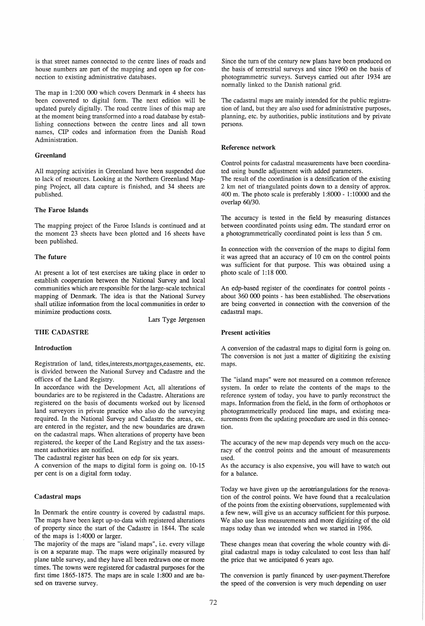is that street names connected to the centre lines of roads and house numbers are part of the mapping and open up for connection to existing administrative databases.

The map in 1:200 000 which covers Denmark in 4 sheets has been converted to digital form. The next edition will be updated purely digitally. The road centre lines of this map are at the moment being transformed into a road database by establishing connections between the centre lines and all town names, CIP codes and information from the Danish Road Administration.

## Greenland

All mapping activities in Greenland have been suspended due to lack of resources. Looking at the Northern Greenland Mapping Project, all data capture is finished, and 34 sheets are published.

#### The Faroe Islands

The mapping project of the Faroe Islands is continued and at the moment 23 sheets have been plotted and 16 sheets have been published.

## The future

At present a lot of test exercises are taking place in order to establish cooperation between the National Survey and local communities which are responsible for the large-scale technical mapping of Denmark. The idea is that the National Survey shall utilize information from the local communities in order to minimize productions costs.

Lars Tyge Jørgensen

### THE CADASTRE

#### Introduction

Registration of land, titles,interests,mortgages,easements, etc. is divided between the National Survey and Cadastre and the offices of the Land Registry.

In accordance with the Development Act, all alterations of boundaries are to be registered in the Cadastre. Alterations are registered on the basis of documents worked out by licensed land surveyors in private practice who also do the surveying required. In the National Survey and Cadastre the areas, etc. are entered in the register, and the new boundaries are drawn on the cadastral maps. When alterations of property have been registered, the keeper of the Land Registry and the tax assessment authorities are notified.

The cadastral register has been on edp for six years.

A conversion of the maps to digital form is going on. 10-15 per cent is on a digital form today.

## Cadastral maps

In Denmark the entire country is covered by cadastral maps. The maps have been kept up-to-data with registered alterations of property since the start of the Cadastre in 1844. The scale of the maps is 1 :4000 or larger.

The majority of the maps are "island maps", i.e. every village is on a separate map. The maps were originally measured by plane table survey, and they have all been redrawn one or more times. The towns were registered for cadastral purposes for the first time 1865-1875. The maps are in scale 1:800 and are based on traverse survey.

Since the turn of the century new plans have been produced on the basis of terrestrial surveys and since 1960 on the basis of photogrammetric surveys. Surveys carried out after 1934 are normally linked to the Danish national grid.

The cadastral maps are mainly intended for the public registration of land, but they are also used for administrative purposes, planning, etc. by authorities, public institutions and by private persons.

#### Reference network

Control points for cadastral measurements have been coordinated using bundle adjustment with added parameters.

The result of the coordination is a densification of the existing 2 km net of triangulated points down to a density of approx. 400 m. The photo scale is preferably 1:8000 - 1:10000 and the overlap 60/30.

The accuracy is tested in the field by measuring distances between coordinated points using edm. The standard error on a photogrammetrically coordinated point is less than 5 cm.

In connection with the conversion of the maps to digital form it was agreed that an accuracy of 10 cm on the control points was sufficient for that purpose. This was obtained using a photo scale of  $1:18$  000.

An edp-based register of the coordinates for control points about 360 000 points - has been established. The observations are being converted in connection with the conversion of the cadastral maps.

## Present activities

A conversion of the cadastral maps to digital form is going on. The conversion is not just a matter of digitizing the existing maps.

The "island maps" were not measured on a common reference system. In order to relate the contents of the maps to the reference system of today, you have to partly reconstruct the maps. Information from the field, in the form of orthophotos or photogrammetrically produced line maps, and existing measurements from the updating procedure are used in this connection.

The accuracy of the new map depends very much on the accuracy of the control points and the amount of measurements used.

As the accuracy is also expensive, you will have to watch out for a balance.

Today we have given up the aerotriangulations for the renovation of the control points. We have found that a recalculation of the points from the existing observations, supplemented with a few new, will give us an accuracy sufficient for this purpose. We also use less measurements and more digitizing of the old maps today than we intended when we started in 1986.

These changes mean that covering the whole country with digital cadastral maps is today calculated to cost less than half the price that we anticipated 6 years ago.

The conversion is partly financed by user-payment.Therefore the speed of the conversion is very much depending on user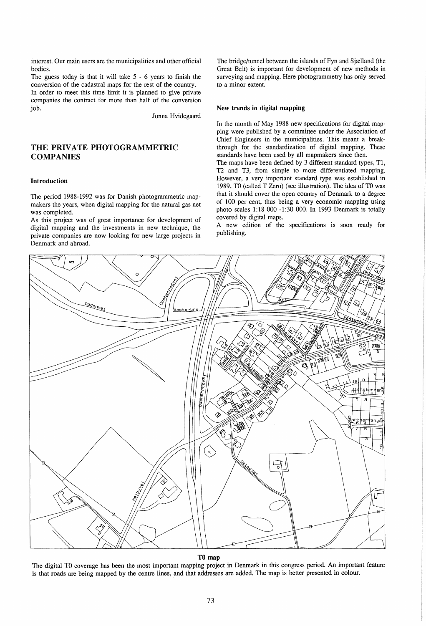interest. Our main users are the municipalities and other official bodies.

The guess today is that it will take 5 - 6 years to finish the conversion of the cadastral maps for the rest of the country.

In order to meet this time limit it is planned to give private companies the contract for more than half of the conversion job.

Jonna Hvidegaard

## THE PRIVATE PHOTOGRAMMETRIC **COMPANIES**

## Introduction

The period 1988-1992 was for Danish photogrammetric mapmakers the years, when digital mapping for the natural gas net was completed.

As this project was of great importance for development of digital mapping and the investments in new technique, the private companies are now looking for new large projects in Denmark and abroad.

The bridge/tunnel between the islands of Fyn and Sjælland (the Great Belt) is important for development of new methods in surveying and mapping. Here photogrammetry has only served to a minor extent.

#### New trends **in** digital mapping

In the month of May 1988 new specifications for digital mapping were published by a committee under the Association of Chief Engineers in the municipalities. This meant a breakthrough for the standardization of digital mapping. These standards have been used by all mapmakers since then.

The maps have been defined by 3 different standard types, T1, T2 and T3, from simple to more differentiated mapping. However, a very important standard type was established in 1989, TO (called T Zero) (see illustration). The idea of TO was that it should cover the open country of Denmark to a degree of 100 per cent, thus being a very economic mapping using photo scales 1:18 000 -1:30 000. In 1993 Denmark is totally covered by digital maps.

A new edition of the specifications is soon ready for publishing.



## TO map

The digital TO coverage has been the most important mapping project in Denmark in this congress period. An important feature is that roads are being mapped by the centre lines, and that addresses are added. The map is better presented in colour.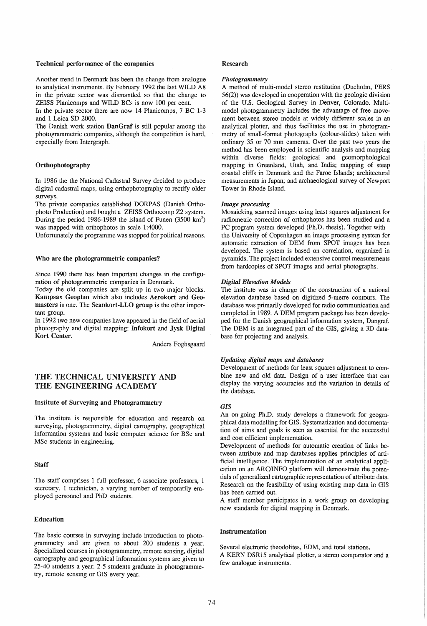#### Technical performance of the companies

Another trend in Denmark has been the change from analogue to analytical instruments. By February 1992 the last WILD A8 in the private sector was dismantled so that the change to ZEISS Planicomps and WILD BCs is now 100 per cent.

In the private sector there are now 14 Planicomps, 7 BC 1-3 and 1 Leica SD 2000.

The Danish work station DanGraf is still popular among the photogrammetric companies, although the competition is hard, especially from Intergraph.

## Orthophotography

In 1986 the the National Cadastral Survey decided to produce digital cadastral maps, using orthophotography to rectify older surveys.

The private companies established DORPAS (Danish Orthophoto Production) and bought a ZEISS Orthocomp Z2 system. During the period 1986-1989 the island of Funen (3500 km<sup>2</sup>) was mapped with orthophotos in scale 1:4000.

Unfortunately the programme was stopped for political reasons.

#### Who are the photogrammetric companies?

Since 1990 there has been important changes in the configuration of photogrammetric companies in Denmark.

Today the old companies are split up in two major blocks. Kampsax Geoplan which also includes Aerokort and Geomasters is one. The Scankort-LLO group is the other important group.

In 1992 two new companies have appeared in the field of aerial photography and digital mapping: Infokort and Jysk Digital Kort Center.

Anders Foghsgaard

## THE TECHNICAL UNIVERSITY AND THE ENGINEERING ACADEMY

#### Institute of Surveying and Photogrammetry

The institute is responsible for education and research on surveying, photogrammetry, digital cartography, geographical information systems and basic computer science for BSc and MSc students in engineering.

#### Staff

The staff comprises 1 full professor, 6 associate professors, 1 secretary, 1 technician, a varying number of temporarily employed personnel and PhD students.

## Education

The basic courses in surveying include introduction to photogrammetry and are given to about 200 students a year. Specialized courses in photogrammetry, remote sensing, digital cartography and geographical information systems are given to 25-40 students a year. 2-5 students graduate in photogrammetry, remote sensing or GIS every year.

#### Research

#### *Photogrammetry*

A method of multi-model stereo restitution (Dueholm, PERS  $56(2)$ ) was developed in cooperation with the geologic division of the U.S. Geological Survey in Denver, Colorado. Multimodel photogrammetry includes the advantage of free movement between stereo models at widely different scales in an analytical plotter, and thus facilitates the use in photogrammetry of small-format photographs (colour-slides) taken with ordinary 35 or 70 mm cameras. Over the past two years the method has been employed in scientific analysis and mapping within diverse fields: geological and geomorphological mapping in Greenland, Utah, and India; mapping of steep coastal cliffs in Denmark and the Faroe Islands; architectural measurements in Japan; and archaeological survey of Newport Tower in Rhode Island.

#### *Image processing*

Mosaicking scanned images using least squares adjustment for radiometric correction of orthophotos has been studied and a PC program system developed (Ph.D. thesis). Together with the University of Copenhagen an image processing system for automatic extraction of DEM from SPOT images has been developed. The system is based on correlation, organized in pyramids. The project included extensive control measurements from hardcopies of SPOT images and aerial photographs.

#### *Digital Elevation Models*

The institute was in charge of the construction of a national elevation database based on digitized 5-metre contours. The database was primarily developed for radio communication and completed in 1989. A DEM program package has been developed for the Danish geographical information system, Dangraf. The DEM is an integrated part of the GIS, giving a 3D database for projecting and analysis.

## *Updating digital maps and databases*

Development of methods for least squares adjustment to combine new and old data. Design of a user interface that can display the varying accuracies and the variation in details of the database.

## *GIS*

An on-going Ph.D. study develops a framework for geographical data modelling for GIS. Systematization and documentation of aims and goals is seen as essential for the successful and cost efficient implementation.

Development of methods for automatic creation of links between attribute and map databases applies principles of artificial intelligence. The implementation of an analytical application on an ARCIINFO platform will demonstrate the potentials of generalized cartographic representation of attribute data. Research on the feasibility of using existing map data in GIS has been carried out.

A staff member participates in a work group on developing new standards for digital mapping in Denmark.

#### Instrumentation

Several electronic theodolites, EDM, and total stations. A KERN DSR15 analytical plotter, a stereo comparator and a few analogue instruments.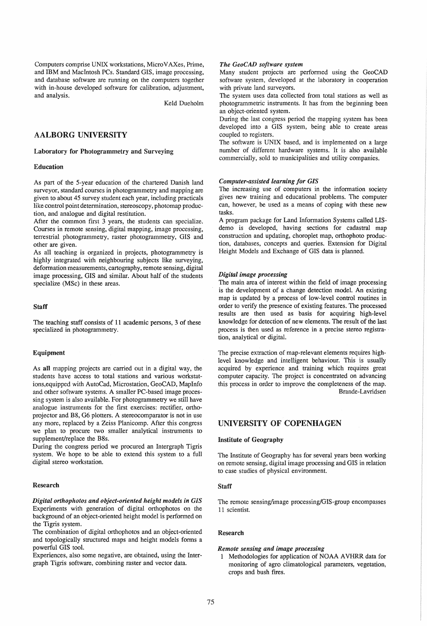Computers comprise UNIX workstations, Micro V AXes, Prime, and IBM and MacIntosh PCs. Standard GIS, image processing, and database software are running on the computers together with in-house developed software for calibration, adjustment, and analysis.

Keld Dueholm

## AALBORG UNIVERSITY

## Laboratory for Photogrammetry and Surveying

#### Education

As part of the 5-year education of the chartered Danish land surveyor, standard courses in photogrammetry and mapping are given to about 45 survey student each year, including practicals like control point determination, stereoscopy, photomap production, and analogue and digital restitution.

After the common first 3 years, the students can specialize. Courses in remote sensing, digital mapping, image processing, terrestrial photogrammetry, raster photogrammetry, GIS and other are given.

As all teaching is organized in projects, photogrammetry is highly integrated with neighbouring subjects like surveying, deformation measurements, cartography, remote sensing, digital image processing, GIS and similar. About half of the students specialize (MSc) in these areas.

## Staff

The teaching staff consists of 11 academic persons, 3 of these specialized in photogrammetry.

#### Equipment

As all mapping projects are carried out in a digital way, the students have access to total stations and various workstations,equipped with AutoCad, Microstation, GeoCAD, MapInfo and other software systems. A smaller PC-based image processing system is also available. For photogrammetry we still have analogue instruments for the first exercises: rectifier, orthoprojector and B8, G6 plotters. A stereocomparator is not in use any more, replaced by a Zeiss Planicomp. After this congress we plan to procure two smaller analytical instruments to supplement/replace the B8s.

During the congress period we procured an Intergraph Tigris system. We hope to be able to extend this system to a full digital stereo workstation.

## Research

*Digital orthophotos and object-oriented height models in GIS*  Experiments with generation of digital orthophotos on the background of an object-oriented height model is performed on the Tigris system.

The combination of digital orthophotos and an object-oriented and topologically structured maps and height models forms a powerful GIS tool.

Experiences, also some negative, are obtained, using the Intergraph Tigris software, combining raster and vector data.

## *The GeoCAD software system*

Many student projects are performed using the GeoCAD software system, developed at the laboratory in cooperation with private land surveyors.

The system uses data collected from total stations as well as photogrammetric instruments. It has from the beginning been an object-oriented system.

During the last congress period the mapping system has been developed into a GIS system, being able to create areas coupled to registers.

The software is UNIX based, and is implemented on a large number of different hardware systems. It is also available commercially, sold to municipalities and utility companies.

#### *Computer-assisted learning for GIS*

The increasing use of computers in the information society gives new training and educational problems. The computer can, however, be used as a means of coping with these new tasks.

A program package for Land Information Systems called LISdemo is developed, having sections for cadastral map construction and updating, choroplet map, orthophoto production, databases, concepts and queries. Extension for Digital Height Models and Exchange of GIS data is planned.

## *Digital image processing*

The main area of interest within the field of image processing is the development of a change detection model. An existing map is updated by a process of low-level control routines in order to verify the presence of existing features. The processed results are then used as basis for acquiring high-level knowledge for detection of new elements. The result of the last process is then used as reference in a precise stereo registra- . tion, analytical or digital.

The precise extraction of map-relevant elements requires highlevel knowledge and intelligent behaviour. This is usually acquired by experience and training which requires great computer capacity. The project is concentrated on advancing this process in order to improve the completeness of the map. Brande-La vridsen

## UNIVERSITY OF COPENHAGEN

### Institute of Geography

The Institute of Geography has for several years been working on remote sensing, digital image processing and GIS in relation to case studies of physical environment.

#### **Staff**

The remote sensing/image processing/GIS-group encompasses 11 scientist.

### Research

## *Remote sensing and image processing*

1 Methodologies for application of NOAA A VHRR data for monitoring of agro climatological parameters, vegetation, crops and bush fires.